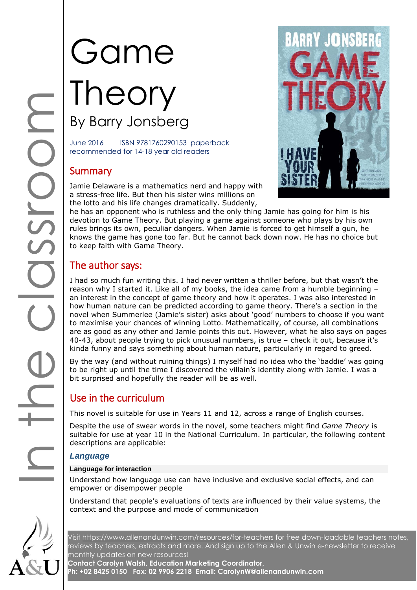# Game Theory By Barry Jonsberg

June 2016 ISBN 9781760290153 paperback recommended for 14-18 year old readers

# **Summary**

Jamie Delaware is a mathematics nerd and happy with a stress-free life. But then his sister wins millions on the lotto and his life changes dramatically. Suddenly,

he has an opponent who is ruthless and the only thing Jamie has going for him is his devotion to Game Theory. But playing a game against someone who plays by his own rules brings its own, peculiar dangers. When Jamie is forced to get himself a gun, he knows the game has gone too far. But he cannot back down now. He has no choice but to keep faith with Game Theory.

# The author says:

I had so much fun writing this. I had never written a thriller before, but that wasn't the reason why I started it. Like all of my books, the idea came from a humble beginning – an interest in the concept of game theory and how it operates. I was also interested in how human nature can be predicted according to game theory. There's a section in the novel when Summerlee (Jamie's sister) asks about 'good' numbers to choose if you want to maximise your chances of winning Lotto. Mathematically, of course, all combinations are as good as any other and Jamie points this out. However, what he also says on pages 40-43, about people trying to pick unusual numbers, is true – check it out, because it's kinda funny and says something about human nature, particularly in regard to greed.

By the way (and without ruining things) I myself had no idea who the 'baddie' was going to be right up until the time I discovered the villain's identity along with Jamie. I was a bit surprised and hopefully the reader will be as well.

# Use in the curriculum

This novel is suitable for use in Years 11 and 12, across a range of English courses.

Despite the use of swear words in the novel, some teachers might find *Game Theory* is suitable for use at year 10 in the National Curriculum. In particular, the following content descriptions are applicable:

# *Language*

#### **Language for interaction**

Understand how language use can have inclusive and exclusive social effects, and can empower or disempower people

Understand that people's evaluations of texts are influenced by their value systems, the context and the purpose and mode of communication

Visit<https://www.allenandunwin.com/resources/for-teachers> for free down-loadable teachers notes, reviews by teachers, extracts and more. And sign up to the Allen & Unwin e-newsletter to receive monthly updates on new resources!

**Contact Carolyn Walsh, Education Marketing Coordinator, Ph: +02 8425 0150 Fax: 02 9906 2218 Email: CarolynW@allenandunwin.com**

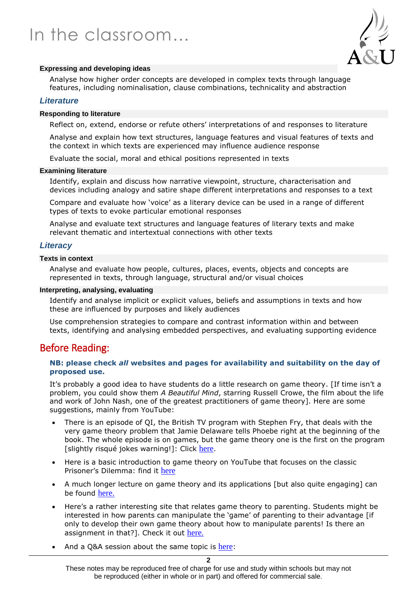

#### **Expressing and developing ideas**

Analyse how higher order concepts are developed in complex texts through language features, including nominalisation, clause combinations, technicality and abstraction

#### *Literature*

#### **Responding to literature**

Reflect on, extend, endorse or refute others' interpretations of and responses to literature

Analyse and explain how text structures, language features and visual features of texts and the context in which texts are experienced may influence audience response

Evaluate the social, moral and ethical positions represented in texts

#### **Examining literature**

Identify, explain and discuss how narrative viewpoint, structure, characterisation and devices including analogy and satire shape different interpretations and responses to a text

Compare and evaluate how 'voice' as a literary device can be used in a range of different types of texts to evoke particular emotional responses

Analyse and evaluate text structures and language features of literary texts and make relevant thematic and intertextual connections with other texts

#### *Literacy*

#### **Texts in context**

Analyse and evaluate how people, cultures, places, events, objects and concepts are represented in texts, through language, structural and/or visual choices

#### **Interpreting, analysing, evaluating**

Identify and analyse implicit or explicit values, beliefs and assumptions in texts and how these are influenced by purposes and likely audiences

Use comprehension strategies to compare and contrast information within and between texts, identifying and analysing embedded perspectives, and evaluating supporting evidence

# Before Reading:

#### **NB: please check** *all* **websites and pages for availability and suitability on the day of proposed use.**

It's probably a good idea to have students do a little research on game theory. [If time isn't a problem, you could show them *A Beautiful Mind*, starring Russell Crowe, the film about the life and work of John Nash, one of the greatest practitioners of game theory]. Here are some suggestions, mainly from YouTube:

- There is an episode of QI, the British TV program with Stephen Fry, that deals with the very game theory problem that Jamie Delaware tells Phoebe right at the beginning of the book. The whole episode is on games, but the game theory one is the first on the program [slightly risqué jokes warning!]: Click [here](https://www.youtube.com/watch?v=JooYHDc6y_w).
- Here is a basic introduction to game theory on YouTube that focuses on the classic Prisoner's Dilemma: find it [here](https://www.youtube.com/watch?v=3Y1WpytiHKE)
- A much longer lecture on game theory and its applications [but also quite engaging] can be found [here.](https://www.youtube.com/watch?v=hZDxLi6Xc40)
- Here's a rather interesting site that relates game theory to parenting. Students might be interested in how parents can manipulate the 'game' of parenting to their advantage [if only to develop their own game theory about how to manipulate parents! Is there an assignment in that?]. Check it out [here.](http://www.livescience.com/54334-excerpt-from-the-game-theorists-guide-to-parenting.html)
- And a Q&A session about the same topic is [here](http://www.livescience.com/54477-game-theory-parenting-q-and-a.html):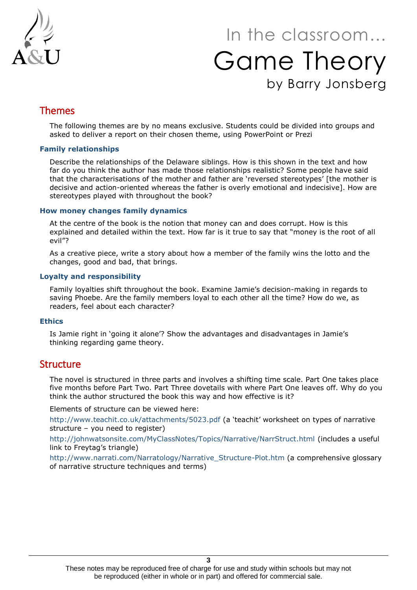

# In the classroom… Game Theory by Barry Jonsberg

# Themes

The following themes are by no means exclusive. Students could be divided into groups and asked to deliver a report on their chosen theme, using PowerPoint or Prezi

#### **Family relationships**

Describe the relationships of the Delaware siblings. How is this shown in the text and how far do you think the author has made those relationships realistic? Some people have said that the characterisations of the mother and father are 'reversed stereotypes' [the mother is decisive and action-oriented whereas the father is overly emotional and indecisive]. How are stereotypes played with throughout the book?

#### **How money changes family dynamics**

At the centre of the book is the notion that money can and does corrupt. How is this explained and detailed within the text. How far is it true to say that "money is the root of all evil"?

As a creative piece, write a story about how a member of the family wins the lotto and the changes, good and bad, that brings.

#### **Loyalty and responsibility**

Family loyalties shift throughout the book. Examine Jamie's decision-making in regards to saving Phoebe. Are the family members loyal to each other all the time? How do we, as readers, feel about each character?

#### **Ethics**

Is Jamie right in 'going it alone'? Show the advantages and disadvantages in Jamie's thinking regarding game theory.

# **Structure**

The novel is structured in three parts and involves a shifting time scale. Part One takes place five months before Part Two. Part Three dovetails with where Part One leaves off. Why do you think the author structured the book this way and how effective is it?

Elements of structure can be viewed here:

<http://www.teachit.co.uk/attachments/5023.pdf> (a 'teachit' worksheet on types of narrative structure – you need to register)

<http://johnwatsonsite.com/MyClassNotes/Topics/Narrative/NarrStruct.html> (includes a useful link to Freytag's triangle)

[http://www.narrati.com/Narratology/Narrative\\_Structure-Plot.htm](http://www.narrati.com/Narratology/Narrative_Structure-Plot.htm) (a comprehensive glossary of narrative structure techniques and terms)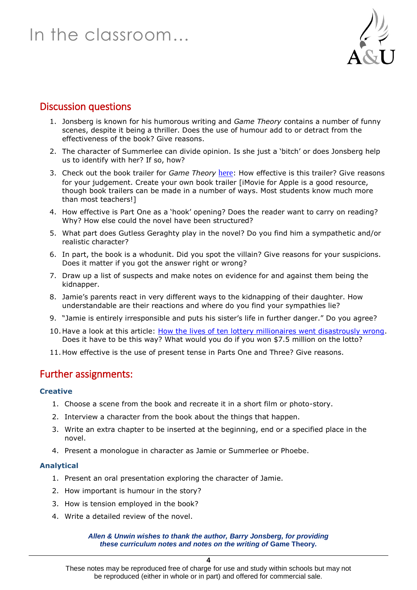

# Discussion questions

- 1. Jonsberg is known for his humorous writing and *Game Theory* contains a number of funny scenes, despite it being a thriller. Does the use of humour add to or detract from the effectiveness of the book? Give reasons.
- 2. The character of Summerlee can divide opinion. Is she just a 'bitch' or does Jonsberg help us to identify with her? If so, how?
- 3. Check out the book trailer for *Game Theory* [here](https://www.youtube.com/watch?v=YnGcpEJQ_nI): How effective is this trailer? Give reasons for your judgement. Create your own book trailer [iMovie for Apple is a good resource, though book trailers can be made in a number of ways. Most students know much more than most teachers!]
- 4. How effective is Part One as a 'hook' opening? Does the reader want to carry on reading? Why? How else could the novel have been structured?
- 5. What part does Gutless Geraghty play in the novel? Do you find him a sympathetic and/or realistic character?
- 6. In part, the book is a whodunit. Did you spot the villain? Give reasons for your suspicions. Does it matter if you got the answer right or wrong?
- 7. Draw up a list of suspects and make notes on evidence for and against them being the kidnapper.
- 8. Jamie's parents react in very different ways to the kidnapping of their daughter. How understandable are their reactions and where do you find your sympathies lie?
- 9. "Jamie is entirely irresponsible and puts his sister's life in further danger." Do you agree?
- 10. Have a look at this article: [How the lives of ten lottery millionaires went disastrously wrong.](http://www.money.co.uk/guides/how-the-lives-of-10-lottery-millionaires-went-disastrously-wrong.htm#ixzz2D7BoHtwk) Does it have to be this way? What would you do if you won \$7.5 million on the lotto?
- 11. How effective is the use of present tense in Parts One and Three? Give reasons.

# Further assignments:

#### **Creative**

- 1. Choose a scene from the book and recreate it in a short film or photo-story.
- 2. Interview a character from the book about the things that happen.
- 3. Write an extra chapter to be inserted at the beginning, end or a specified place in the novel.
- 4. Present a monologue in character as Jamie or Summerlee or Phoebe.

#### **Analytical**

- 1. Present an oral presentation exploring the character of Jamie.
- 2. How important is humour in the story?
- 3. How is tension employed in the book?
- 4. Write a detailed review of the novel.

#### *Allen & Unwin wishes to thank the author, Barry Jonsberg, for providing these curriculum notes and notes on the writing of* **Game Theory***.*